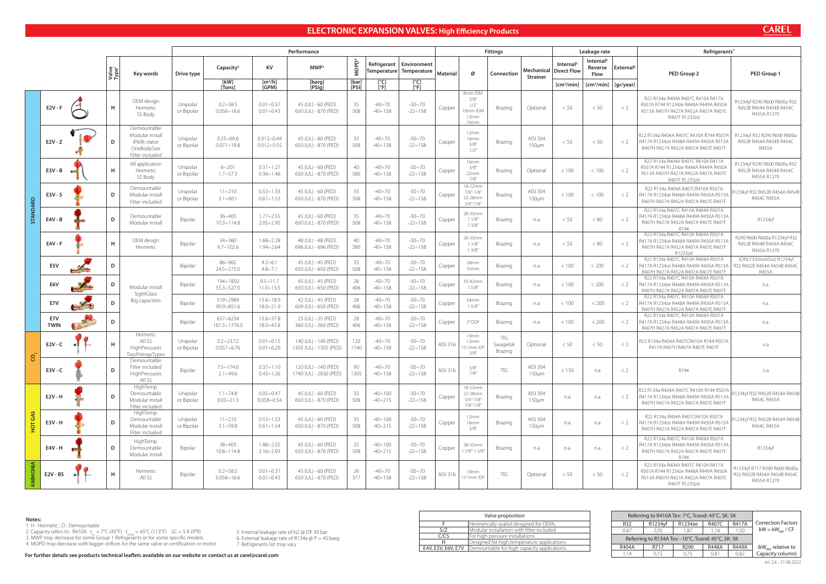# **ELECTRONIC EXPANSION VALVES: High Efficiency Products**

|                 |                    |        |                            |                                                                                  |                        |                                       |                                              | Performance                                    |                   |                                  |                                                      |                 |                                                      | <b>Fittings</b>            |                               |                                      | Leakage rate                             |                       | Refrigerants <sup>7</sup>                                                                                                                              |                                                                            |  |  |  |  |
|-----------------|--------------------|--------|----------------------------|----------------------------------------------------------------------------------|------------------------|---------------------------------------|----------------------------------------------|------------------------------------------------|-------------------|----------------------------------|------------------------------------------------------|-----------------|------------------------------------------------------|----------------------------|-------------------------------|--------------------------------------|------------------------------------------|-----------------------|--------------------------------------------------------------------------------------------------------------------------------------------------------|----------------------------------------------------------------------------|--|--|--|--|
|                 |                    |        | Valve<br>Type <sup>1</sup> | Key words                                                                        | Drive type             | Capacity <sup>2</sup>                 | KV                                           | MWP <sup>3</sup>                               | MOPD <sup>4</sup> |                                  | Refrigerant   Environment<br>Temperature Temperature | <b>Material</b> | Ø                                                    | Connection                 | Mechanical<br><b>Strainer</b> | Internal <sup>5</sup><br>Direct Flow | Internal <sup>5</sup><br>Reverse<br>Flow | External <sup>6</sup> | PED Group 2                                                                                                                                            | PED Group 1                                                                |  |  |  |  |
|                 |                    |        |                            |                                                                                  |                        | [kW]<br>[Tons]                        | $\left[\frac{m^3}{h}\right]$<br><b>IGPM1</b> | [barg]<br>[PSIq]                               | [bar]<br>[PSI]    | $[^{\circ}C]$<br>[°F]            | [°C]<br>[°F]                                         |                 |                                                      |                            |                               | [cm <sup>3</sup> /min]               | [cm <sup>3</sup> /min]                   | [gr/year]             |                                                                                                                                                        |                                                                            |  |  |  |  |
|                 | $E2V - F$          |        | н                          | OEM design<br>Hermetic<br>SS Body                                                | Unipolar<br>or Bipolar | $0.2 \div 58.5$<br>$0.056 \div 16.6$  | $0.01 \div 0.37$<br>$0.01 \div 0.43$         | 45 (UL) - 60 (PED)<br>650 (UL) - 870 (PED)     | 35<br>508         | $-40 \div 70$<br>$-40 \div 158$  | $-30 \div 70$<br>$-22 \div 158$                      | Copper          | 8mm IDM<br>3/8''<br>1/2"<br>10mm IDM<br>12mm<br>16mm | Brazing                    | Optional                      | < 50                                 | < 50                                     | $\langle$ 2           | R22 R134a R404A R407C R410A R417A<br>R507A R744 R1234ze R448A R449A R450A<br>R513A R407H R427A R452A R407A R407E<br>R407F R1233zd                      | R1234yf R290 R600 R600a R32<br>R452B R454A R454B R454C<br>R455A R1270      |  |  |  |  |
|                 | $E2V - Z$          |        | D                          | Demountable<br>Modular install<br>IP69k stator<br>OneBodySize<br>Filter included | Unipolar<br>or Bipolar | $0.25 \div 69.6$<br>$0.071 \div 19.8$ | $0.012 \div 0.44$<br>$0.012 \div 0.55$       | 45 (UL) - 80 (PED)<br>650 (UL) - 870 (PED)     | 35<br>508         | $-40 \div 70$<br>$-40 \div 158$  | $-30 \div 70$<br>$-22 \div 158$                      | Copper          | 12mm<br>16mm<br>5/8''<br>1/2"                        | Brazing                    | AISI 304<br>$150 \mu m$       | < 50                                 | < 50                                     | $\leq$ 2              | R22 R134a R404A R407C R410A R744 R507A<br>R417A R1234ze R448A R449A R450A R513A<br>R407H R427A R452A R407A R407E R407F                                 | R1234yf R32 R290 R600 R600a<br>R452B R454A R454B R454C<br><b>R455A</b>     |  |  |  |  |
|                 | $E3V - B$          |        | H                          | All application<br>Hermetic<br>SS Body                                           | Unipolar<br>or Bipolar | $6 \div 201$<br>$1.7 \div 57.3$       | $0.31 \div 1.27$<br>$0.36 \div 1.46$         | 45 (UL) - 60 (PED)<br>650 (UL) - 870 (PED)     | 40<br>580         | $-40 \div 70$<br>$-40 \div 158$  | $-30 \div 70$<br>$-22 \div 158$                      | Copper          | 16mm<br>5/8''<br>22mm<br>7/8"                        | Brazing                    | Optional                      | < 100                                | < 100                                    | $\langle 2$           | R22 R134a R404A R407C R410A R417A<br>R507A R744 R1234ze R448A R449A R450A<br>R513A R407H R427A R452A R407A R407E<br>R407F R1233zd                      | R1234yf R290 R600 R600a R32<br>R452B R454A R454B R454C<br>R455A R1270      |  |  |  |  |
|                 | $E3V - S$          |        | D                          | Demountable<br>Modular install<br>Filter included                                | Unipolar<br>or Bipolar | $11 \div 210$<br>$3.1 \div 60.1$      | $0.53 \div 1.33$<br>$0.61 \div 1.53$         | 45 (UL) - 60 (PED)<br>650 (UL) - 870 (PED)     | 35<br>508         | $-40 \div 70$<br>$-40 \div 158$  | $-30 \div 70$<br>$-22 \div 158$                      | Copper          | 18-22mm<br>$7/8 - 1/8$<br>22-28mm<br>$3/4" - 7/8"$   | Brazing                    | AISI 304<br>$150 \mu m$       | < 100                                | < 100                                    | $\langle$ 2           | R22 R134a R404A R407CR410A R507A<br>R417A R1234ze R448A R449A R450A R513/<br>R407H R427A R452A R407A R407E R407F                                       | 1234yf R32 R452B R454A R454B<br>R454C R455A                                |  |  |  |  |
| <b>STANDARD</b> | E4V - B            |        | D                          | Demountable<br>Modular install                                                   | Bipolar                | $36 \div 403$<br>$10.3 \div 114.8$    | $1.77 \div 2.55$<br>$2.05 \div 2.95$         | 45 (UL) - 60 (PED)<br>650 (UL) - 870 (PED)     | 35<br>508         | $-40 \div 70$<br>$-40 \div 158$  | $-30 \div 70$<br>$-22 \div 158$                      | Copper          | 28-35mm<br>1.1/8''<br>1.3/8''                        | Brazing                    | n.a                           | < 50                                 | < 80                                     | $\langle$ 2           | R22 R134a R407C R410A R404A R507A<br>R417A R1234ze R448A R449A R450A R513A<br>R407H R427A R452A R407A R407E R407F<br>R744                              | R1234yf                                                                    |  |  |  |  |
|                 | $EAV - F$          |        | H                          | OEM design<br>Hermetic                                                           | Bipolar                | $34 \div 360$<br>$9.7 \div 102.6$     | $1.68 \div 2.28$<br>$1.94 \div 2.64$         | 48 (UL) - 48 (PED)<br>696 (UL) - 696 (PED)     | 40<br>580         | $-40 \div 70$<br>$-40 \div 158$  | $-30 \div 70$<br>$-22 \div 158$                      | Copper          | 28-35mm<br>1.1/8''<br>1.3/8''                        | Brazing                    | n.a                           | < 50                                 | < 80                                     | $\langle$ 2           | R22 R134a R407C R410A R404A R507A<br>R417A R1234ze R448A R449A R450A R513A<br>R407H R427A R452A R407A R407E R407F<br>R1233zd                           | R290 R600 R600a R1234yf R32<br>R452B R454B R454A R454C<br>R455A R1270      |  |  |  |  |
|                 | E5V                |        | D                          |                                                                                  | Bipolar                | $86 \div 965$<br>$24.5 \div 275.0$    | $4.2 \div 6.1$<br>$4.8 \div 7.1$             | 45 (UL) - 45 (PED)<br>650 (UL) - 650 (PED)     | 35<br>508         | $-40 \div 70$<br>$-40 \div 158$  | $-30 \div 70$<br>$-22 \div 158$                      | Copper          | 28mm<br>35mm                                         | Brazing                    | n.a                           | < 100                                | < 200                                    | $\lt 2$               | R22 R134a R407C R410A R404A R507A<br>R417A R1234ze R448A R449A R450A R513A<br>R407H R427A R452A R407A R407E R407F                                      | (ONLY E5VxxASSx) R1234yf<br>R32 R452B R454A R454B R454C<br><b>R455A</b>    |  |  |  |  |
|                 | E6V                |        | D                          | Modular install<br>SightGlass                                                    | Bipolar                | 194÷1850<br>$55.3 \div 527.0$         | $9.5 \div 11.7$<br>$11.0 \div 13.5$          | 45 (UL) - 45 (PED)<br>650 (UL) - 650 (PED)     | 28<br>406         | $-40 \div 70$<br>$-40 \div 158$  | $-30 \div 70$<br>$-22 \div 158$                      | Copper          | 35-42mm<br>1.5/8''                                   | Brazing                    | n.a                           | < 100                                | < 200                                    | $\lt 2$               | R22 R134a R407C R410A R404A R507A<br>R417A R1234ze R448A R449A R450A R513A<br>R407H R427A R452A R407A R407E R407F                                      | n.a.                                                                       |  |  |  |  |
|                 | E7V                | $\sim$ | D                          | Big capacities                                                                   | Bipolar                | 319÷2989<br>$90.9 \div 851.6$         | $15.6 \div 18.9$<br>$18.0 \div 21.9$         | 42 (UL) - 45 (PED)<br>609 (UL) - 650 (PED)     | 28<br>406         | $-40 \div 70$<br>$-40 \div 158$  | $-30 \div 70$<br>$-22 \div 158$                      | Copper          | 54mm<br>1.5/8''                                      | Brazing                    | n.a                           | < 100                                | < 200                                    | $\langle$ 2           | R22 R134a R407C R410A R404A R507A<br>R417A R1234ze R448A R449A R450A R513A<br>R407H R427A R452A R407A R407E R407F<br>R22 R134a R407C R410A R404A R507A | n.a.                                                                       |  |  |  |  |
|                 | E7V<br><b>TWIN</b> |        | D                          | Hermetic                                                                         | Bipolar                | $637 \div 6234$<br>181.5÷1776.0       | $15.6 \div 37.8$<br>$18.0 \div 43.8$         | 25 (UL) - 25 (PED)<br>360 (UL) - 360 (PED)     | 28<br>406         | $-40 \div 70$<br>$-40 \div 158$  | $-30 \div 70$<br>$-22 \div 158$                      | Copper          | 3" ODF                                               | Brazing                    | n.a                           | < 100                                | < 200                                    | $\lt 2$               | R417A R1234ze R448A R449A R450A R513A<br>R407H R427A R452A R407A R407E R407F                                                                           | n.a.                                                                       |  |  |  |  |
| S               | $E2V - C$          |        | н                          | All SS<br>HighPressures<br>TwoFittingsTypes                                      | Unipolar<br>or Bipolar | $0.2 \div 23.72$<br>$0.057 \div 6.76$ | $0.01 \div 0.15$<br>$0.01 \div 0.29$         | 140 (UL) - 140 (PED)<br>1305 (UL) - 1305 (PED) | 120<br>1740       | $-40 \div 70$<br>$-40 \div 158$  | $-30 \div 70$<br>$-22 \div 158$                      | AISI 316        | 10mm<br>12mm<br>13.1mm IDF<br>3/8''                  | TIG<br>Swagelok<br>Brazing | Optional                      | < 50                                 | < 50                                     | $\langle$ 2           | R22 R134a R404A R407CR410A R744 R507A<br>R417A R407H R407A R407E R407F                                                                                 | n.a                                                                        |  |  |  |  |
|                 | $E3V - C$          |        | D                          | Demountable<br>Filter included<br>HighPressures<br>ail ss                        | Bipolar                | $7.5 \div 174.0$<br>$2.1 \div 49.6$   | $0.37 \div 1.10$<br>$0.43 \div 1.26$         | 120 (UL) - 140 (PED)<br>1740 (UL) - 2030 (PED) | 90<br>1305        | $-40 \div 70$<br>$-40 \div 158$  | $-30 \div 70$<br>$-22 \div 158$                      | AISI 316        | 5/8''<br>7/8"                                        | TIG                        | AISI 304<br>$150 \mu m$       | < 150                                | n.a                                      | < 2                   | R744                                                                                                                                                   | n.a                                                                        |  |  |  |  |
|                 | E2V - H            |        | D                          | HighTemp.<br>Demountable<br>Modular install<br>Filter included                   | Unipolar<br>or Bipolar | $1.1 \div 74.8$<br>$0.03 \div 21.3$   | $0.05 \div 0.47$<br>$0.058 \div 0.54$        | 45 (UL) - 60 (PED)<br>650 (UL) - 870 (PED)     | 35<br>508         | -40÷100<br>-40÷215               | $-30 \div 70$<br>$-22 \div 158$                      | Copper          | 18-22mm<br>22-28mm<br>$3/4" - 7/8"$<br>$7/8 - 1/8$   | Brazing                    | AISI 304<br>$150 \mu m$       | n.a                                  | n.a                                      | $\langle$ 2           | R22 R134a R404A R407C R410A R744 R507A<br>R417A R1234ze R448A R449A R450A R513A<br>R407H R427A R452A R407A R407E R407F                                 | R1234yf R32 R452B R454A R454B<br>R454C R455A                               |  |  |  |  |
| <b>HOT GAS</b>  | E3V - H            |        | D                          | HighTemp.<br>Demountable<br>Modular install<br>Filter included                   | Unipolar<br>or Bipolar | $11 \div 210$<br>$3.1 \div 59.8$      | $0.53 \div 1.33$<br>$0.61 \div 1.54$         | 45 (UL) - 60 (PED)<br>650 (UL) - 870 (PED)     | 35<br>508         | $-40 \div 100$<br>$-40 \div 215$ | $-30 \div 70$<br>$-22 \div 158$                      | Copper          | 12mm<br>16mm<br>5/8''                                | Brazing                    | AISI 304<br>$150 \mu m$       | n.a                                  | n.a                                      | $\lt 2$               | R22 R134a R404A R407CR410A R507A<br>R417A R1234ze R448A R449A R450A R513A<br>R407H R427A R452A R407A R407E R407F                                       | R1234yf R32 R452B R454A R454B<br>R454C R455A                               |  |  |  |  |
|                 | E4V - H            |        | D                          | HighTemp.<br>Demountable<br>Modular install                                      | Bipolar                | $38 \div 403$<br>$10.8 \div 114.8$    | $1.88 \div 2.55$<br>$2.16 \div 2.93$         | 45 (UL) - 60 (PED)<br>650 (UL) - 870 (PED)     | 35<br>508         | $-40 \div 100$<br>$-40 \div 215$ | -30÷70<br>$-22 \div 158$                             | Copper          | 28-35mm<br>$1.1/8" - 1.3/8"$                         | Brazing                    | n.a                           | n.a                                  | n.a                                      | < 2                   | R22 R134a R407C R410A R404A R507A<br>R417A R1234ze R448A R449A R450A R513A<br>R407H R427A R452A R407A R407E R407F<br>R744                              | R1234yf                                                                    |  |  |  |  |
| AMMONIA         | E2V - BS           |        | H                          | Hermetic<br>All SS                                                               | Bipolar                | $0.2 \div 58.5$<br>$0.056 \div 16.6$  | $0.01 \div 0.37$<br>$0.01 \div 0.43$         | 45 (UL) - 60 (PED)<br>650 (UL) - 870 (PED)     | -26<br>377        | $-40 \div 70$<br>$-40 \div 158$  | -30÷70<br>$-22 \div 158$                             | AISI 316        | 10mm<br>13.1mm IDF                                   | TIG                        | Optional                      | < 50                                 | < 50                                     | $\langle 2$           | R22 R134a R404A R407C R410A R417A<br>R507A R744 R1234ze R448A R449A R450A<br>R513A R407H R427A R452A R407A R407E<br>R407F R1233zd                      | R1234yf R717 R290 R600 R600a<br>R32 R452B R454A R454B R454C<br>R455A R1270 |  |  |  |  |

Valve proposition F |Hermetically sealed designed for OEMs S/Z Modular installation with filter included S/Z Modular installation with filter in<br>C/CS For high pressure installations H Designed for high temperature applications E4V, E5V, E6V, E7V | Demountable for high capacity applications **Notes:**<br>
1. H: Hermetic ; D : Demountable<br>
1. Capacity refers to : R410A t<sub>ax</sub> = 7°C (45°F) t<sub>and</sub> = 45°C (113°F) SC = 5 K (9°R) 5. Internal leakage rate of N2 @ DP 30 bar<br>
3. MWP may decrease for some Group 1 Refrigeran

# **CAREI**

### **Notes:**

1. H : Hermetic ; D : Demountable

2. Capacity refers to : R410A t<sub>ev</sub> = 7°C (45°F) t<sub>ond</sub> = 45°C (113°F) SC = 5 K (9°R)<br>3. MWP may decrease for some Group 1 Refrigerants or for some specific models

4. MOPD may decrease with bigger orifices for the same valve or certification or motor

|                                 | Referring to R410A Tev: 7°C, Tcond: 45°C, SK: 5K   |                              |                      |               |  |  |  |  |  |  |  |  |  |  |  |
|---------------------------------|----------------------------------------------------|------------------------------|----------------------|---------------|--|--|--|--|--|--|--|--|--|--|--|
| <b>Correction Factors</b>       | <b>R417A</b><br>R1234yf<br>R407C<br>R1234ze<br>R32 |                              |                      |               |  |  |  |  |  |  |  |  |  |  |  |
| $kW = kW_{\text{occ}} / CF$     | 1,50                                               | 2.05<br>0.67<br>1.87<br>1.16 |                      |               |  |  |  |  |  |  |  |  |  |  |  |
|                                 | Referring to R134A Tev: -10°C, Tcond: 45°C, SK: 5K |                              |                      |               |  |  |  |  |  |  |  |  |  |  |  |
| $(kW_{\text{RFF}})$ relative to | <b>R449A</b>                                       | <b>R448A</b>                 | R <sub>290</sub>     | R404A<br>R717 |  |  |  |  |  |  |  |  |  |  |  |
| Capacity column)                | 0.82                                               | 0.81                         | 0.75<br>1.14<br>0.15 |               |  |  |  |  |  |  |  |  |  |  |  |

5. Internal leakage rate of N2 @ DP 30 bar

- 6. External leakage rate of R134a @ P = 45 barg
- 7. Refrigerants list may vary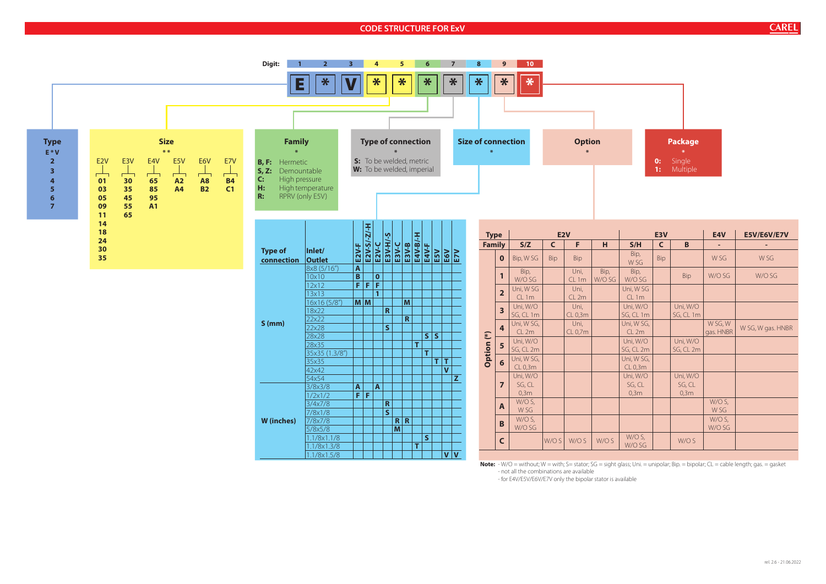## **CODE STRUCTURE FOR ExV**



|                            | E3V |                            | E4V                  | <b>E5V/E6V/E7V</b> |
|----------------------------|-----|----------------------------|----------------------|--------------------|
| S/H                        | C   | B                          |                      |                    |
| Bip,<br>W SG               | Bip |                            | W <sub>SG</sub>      | W <sub>SG</sub>    |
| Bip,<br>W/O SG             |     | <b>Bip</b>                 | W/O SG               | W/O SG             |
| Jni, WSG<br>CL1m           |     |                            |                      |                    |
| Jni, W/O<br>G, CL 1m       |     | Uni, W/O<br>SG, CL 1m      |                      |                    |
| Jni, WSG,<br>CL2m          |     |                            | W SG, W<br>gas. HNBR | W SG, W gas. HNBR  |
| Jni, W/O<br>G, CL 2m       |     | Uni, W/O<br>SG, CL 2m      |                      |                    |
| Jni, WSG,<br>CL 0,3m       |     |                            |                      |                    |
| Jni, W/O<br>SG, CL<br>0,3m |     | Uni, W/O<br>SG, CL<br>0,3m |                      |                    |
|                            |     |                            | W/O S,<br>W SG       |                    |
|                            |     |                            | $W/OS$ ,<br>W/O SG   |                    |
| $W/OS$ ,<br>W/O SG         |     | W/O S                      |                      |                    |

- for E4V/E5V/E6V/E7V only the bipolar stator is available

**CAREL**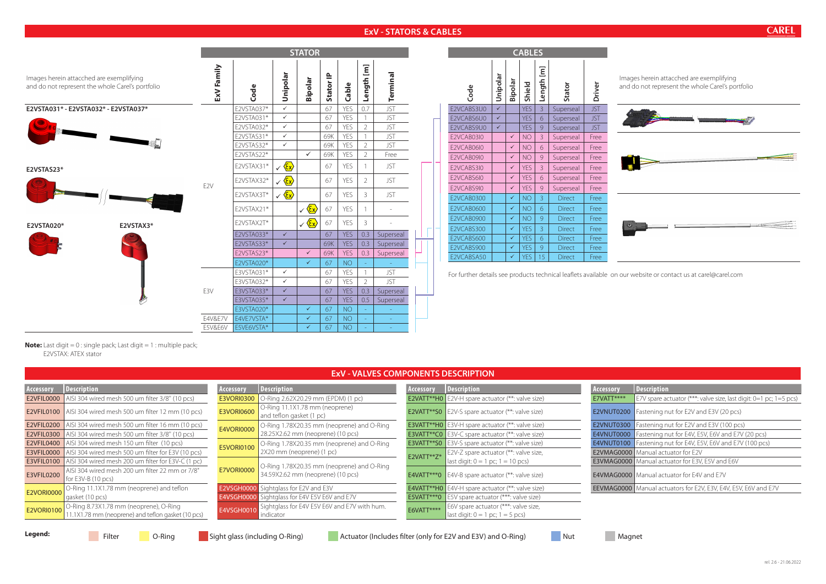# **ExV - STATORS & CABLES**

|                   | <b>EXV - VALVES COMPONENTS DESCRIPTION</b>                                                                    |                   |                                                                                 |            |                                                                         |            |                                                                        |  |  |  |  |  |  |  |  |
|-------------------|---------------------------------------------------------------------------------------------------------------|-------------------|---------------------------------------------------------------------------------|------------|-------------------------------------------------------------------------|------------|------------------------------------------------------------------------|--|--|--|--|--|--|--|--|
| Accessory         | Description<br>Description<br>Description<br><b>Description</b><br>Accessory<br>Accessory<br><b>Accessory</b> |                   |                                                                                 |            |                                                                         |            |                                                                        |  |  |  |  |  |  |  |  |
|                   | <b>E2VFIL0000</b> AISI 304 wired mesh 500 um filter 3/8" (10 pcs)                                             | <b>E3VORI0300</b> | O-Ring 2.62X20.29 mm (EPDM) (1 pc)                                              |            | E2VATT**H0 $ E2V-H$ spare actuator (**: valve size)                     | E7VATT**** | E7V spare actuator (***: valve size, last digit: 0=1 pc; 1=5 pcs)      |  |  |  |  |  |  |  |  |
|                   | <b>E2VFIL0100</b> AISI 304 wired mesh 500 um filter 12 mm (10 pcs)                                            | <b>E3VORI0600</b> | O-Ring 11.1X1.78 mm (neoprene)<br>and teflon gasket (1 pc)                      |            | E2VATT**S0 $\vert$ E2V-S spare actuator (**: valve size)                |            | <b>E2VNUT0200</b>   Fastening nut for E2V and E3V (20 pcs)             |  |  |  |  |  |  |  |  |
|                   | <b>E2VFIL0200</b> AISI 304 wired mesh 500 um filter 16 mm (10 pcs)                                            | <b>E4VORI0000</b> | O-Ring 1.78X20.35 mm (neoprene) and O-Ring                                      |            | <b>E3VATT**H0</b> $\vert$ E3V-H spare actuator (**: valve size)         |            | <b>E2VNUT0300</b>   Fastening nut for E2V and E3V (100 pcs)            |  |  |  |  |  |  |  |  |
|                   | <b>E2VFIL0300</b> AISI 304 wired mesh 500 um filter 3/8" (10 pcs)                                             |                   | 28.25X2.62 mm (neoprene) (10 pcs)                                               |            | <b>E3VATT**C0</b> $\vert$ E3V-C spare actuator (**: valve size)         |            | <b>E4VNUT0000</b> Fastening nut for E4V, E5V, E6V and E7V (20 pcs)     |  |  |  |  |  |  |  |  |
|                   | <b>E2VFIL0400</b>   AISI 304 wired mesh 150 um filter (10 pcs)                                                | <b>E5VORI0100</b> | O-Ring 1.78X20.35 mm (neoprene) and O-Ring                                      |            | <b>E3VATT**S0</b> $ E3V-S$ spare actuator (**: valve size)              |            | <b>E4VNUT0100</b> Fastening nut for E4V, E5V, E6V and E7V (100 pcs)    |  |  |  |  |  |  |  |  |
|                   | <b>E3VFIL0000</b> AISI 304 wired mesh 500 um filter for E3V (10 pcs)                                          |                   | 2X20 mm (neoprene) (1 pc)                                                       | E2VATT**Z* | E2V-Z spare actuator (**: valve size,                                   |            | <b>E2VMAG0000</b>   Manual actuator for E2V                            |  |  |  |  |  |  |  |  |
|                   | <b>E3VFIL0100</b> AISI 304 wired mesh 200 um filter for E3V-C (1 pc)                                          |                   |                                                                                 |            | last digit: $0 = 1$ pc; $1 = 10$ pcs)                                   |            | E3VMAG0000   Manual actuator for E3V, E5V and E6V                      |  |  |  |  |  |  |  |  |
| E3VFIL0200        | AISI 304 wired mesh 200 um filter 22 mm or 7/8"<br>for E3V-B (10 pcs)                                         | <b>E7VORI0000</b> | O-Ring 1.78X20.35 mm (neoprene) and O-Ring<br>34.59X2.62 mm (neoprene) (10 pcs) |            | E4VATT***0 $\vert$ E4V-B spare actuator (**: valve size)                |            | E4VMAG0000   Manual actuator for E4V and E7V                           |  |  |  |  |  |  |  |  |
|                   | O-Ring 11.1X1.78 mm (neoprene) and teflon                                                                     |                   | <b>E2VSGH0000</b> Sightglass for E2V and E3V                                    |            | <b>E4VATT**H0</b> $\left[$ E4V-H spare actuator (**: valve size)        |            | <b>EEVMAG0000</b> Manual actuators for E2V, E3V, E4V, E5V, E6V and E7V |  |  |  |  |  |  |  |  |
| <b>E2VORI0000</b> | gasket (10 pcs)                                                                                               |                   | <b>E4VSGH0000</b> Sightglass for E4V E5V E6V and E7V                            |            | <b>E5VATT***0</b> $\left  \right $ E5V spare actuator (***: valve size) |            |                                                                        |  |  |  |  |  |  |  |  |
| E2VORI0100        | O-Ring 8.73X1.78 mm (neoprene), O-Ring                                                                        | E4VSGH0010        | Sightglass for E4V E5V E6V and E7V with hum.                                    | E6VATT**** | E6V spare actuator (***: valve size,                                    |            |                                                                        |  |  |  |  |  |  |  |  |
|                   | 11.1X1.78 mm (neoprene) and teflon gasket (10 pcs)                                                            |                   | indicator                                                                       |            | last digit: $0 = 1$ pc; $1 = 5$ pcs)                                    |            |                                                                        |  |  |  |  |  |  |  |  |

**Legend:** Filter **C**o-Ring Sight glass (including O-Ring) Actuator (Includes filter (only for E2V and E3V) and O-Ring) Nut Magnet

**CAREL** 

**Note:** Last digit = 0 : single pack; Last digit = 1 : multiple pack; E2VSTAX: ATEX stator

Images herein attacched are exemplifying and do not represent the whole Carel's portfolio



| <b>CABLES</b> |              |              |            |                |               |            |             |  |  |  |  |  |  |
|---------------|--------------|--------------|------------|----------------|---------------|------------|-------------|--|--|--|--|--|--|
| Code          | Unipolar     | Bipolar      | Shield     | Length [m]     | Stator        | Driver     | $\mid$<br>ā |  |  |  |  |  |  |
| E2VCABS3U0    | $\checkmark$ |              | <b>YES</b> | $\overline{3}$ | Superseal     | <b>JST</b> |             |  |  |  |  |  |  |
| E2VCABS6U0    | $\checkmark$ |              | <b>YES</b> | 6              | Superseal     | <b>JST</b> |             |  |  |  |  |  |  |
| E2VCABS9U0    | $\checkmark$ |              | <b>YES</b> | 9              | Superseal     | <b>JST</b> |             |  |  |  |  |  |  |
| E2VCAB03I0    |              | $\checkmark$ | <b>NO</b>  | 3              | Superseal     | Free       |             |  |  |  |  |  |  |
| E2VCAB06I0    |              | $\checkmark$ | <b>NO</b>  | 6              | Superseal     | Free       |             |  |  |  |  |  |  |
| E2VCAB09I0    |              | $\checkmark$ | <b>NO</b>  | $\mathcal{G}$  | Superseal     | Free       |             |  |  |  |  |  |  |
| E2VCABS3I0    |              | $\checkmark$ | <b>YES</b> | $\mathcal{E}$  | Superseal     | Free       |             |  |  |  |  |  |  |
| E2VCABS6I0    |              | $\checkmark$ | <b>YES</b> | 6              | Superseal     | Free       |             |  |  |  |  |  |  |
| E2VCABS9I0    |              | $\checkmark$ | <b>YES</b> | 9              | Superseal     | Free       |             |  |  |  |  |  |  |
| E2VCAB0300    |              | ✓            | <b>NO</b>  | 3              | <b>Direct</b> | Free       |             |  |  |  |  |  |  |
| E2VCAB0600    |              | $\checkmark$ | <b>NO</b>  | 6              | <b>Direct</b> | Free       |             |  |  |  |  |  |  |
| E2VCAB0900    |              | ✓            | <b>NO</b>  | 9              | <b>Direct</b> | Free       |             |  |  |  |  |  |  |
| E2VCABS300    |              | ✓            | <b>YES</b> | 3              | <b>Direct</b> | Free       |             |  |  |  |  |  |  |
| E2VCABS600    |              | $\checkmark$ | <b>YES</b> | 6              | <b>Direct</b> | Free       |             |  |  |  |  |  |  |
| E2VCABS900    |              | ✓            | <b>YES</b> | 9              | <b>Direct</b> | Free       |             |  |  |  |  |  |  |
| E2VCABSA50    |              | ✓            | <b>YES</b> | 15             | <b>Direct</b> | Free       |             |  |  |  |  |  |  |

products technical leaflets available on our website or contact us at carel@carel.com

|            | Images herein attacched are exemplifying<br>and do not represent the whole Carel's portfolio | ExV Family      | Code                                                                                                                     | Unipolar       | Bipolar                 | Stator IP | Cable      | Length [m]     | Terminal   |  | Code                            | Unipolar     |  |
|------------|----------------------------------------------------------------------------------------------|-----------------|--------------------------------------------------------------------------------------------------------------------------|----------------|-------------------------|-----------|------------|----------------|------------|--|---------------------------------|--------------|--|
|            | E2VSTA031* - E2VSTA032* - E2VSTA037*                                                         |                 | E2VSTA037*                                                                                                               | $\checkmark$   |                         | 67        | YES        | 0.7            | <b>JST</b> |  | E2VCABS3U0                      | $\checkmark$ |  |
|            |                                                                                              |                 | E2VSTA031*                                                                                                               | $\checkmark$   |                         | 67        | YES        |                | <b>JST</b> |  | E2VCABS6U0                      | $\checkmark$ |  |
|            |                                                                                              |                 | E2VSTA032*                                                                                                               | $\checkmark$   |                         | 67        | YES        | $\overline{2}$ | <b>JST</b> |  | E2VCABS9U0                      | $\checkmark$ |  |
|            |                                                                                              |                 | E2VSTAS31*                                                                                                               | $\checkmark$   |                         | 69K       | YES        |                | <b>JST</b> |  | E2VCAB03I0                      |              |  |
|            |                                                                                              |                 | YES<br>E2VSTAS32*<br>$\checkmark$<br>69K<br>$\overline{2}$<br>$\checkmark$<br>E2VSTAS22*<br>YES<br>$\overline{2}$<br>69K |                |                         |           |            |                | <b>JST</b> |  | E2VCAB06I0                      |              |  |
|            |                                                                                              |                 |                                                                                                                          |                |                         |           |            |                | Free       |  | E2VCAB09I0                      |              |  |
| E2VSTAS23* |                                                                                              |                 | E2VSTAX31*                                                                                                               | $\sqrt{\xi x}$ |                         | 67        | YES        |                | <b>JST</b> |  | E2VCABS3I0                      |              |  |
|            |                                                                                              |                 | E2VSTAX32*                                                                                                               | $\sqrt{\xi x}$ |                         | 67        | YES        | $\overline{2}$ | <b>JST</b> |  | E2VCABS6I0                      |              |  |
|            |                                                                                              | E <sub>2V</sub> | E2VSTAX3T*                                                                                                               | $\sqrt{\xi x}$ |                         | 67        | YES        | 3              | <b>JST</b> |  | E2VCABS9I0<br><b>E2VCAB0300</b> |              |  |
|            |                                                                                              |                 | E2VSTAX21*                                                                                                               |                | $\sqrt{\frac{\xi x}{}}$ | 67        | YES        |                |            |  | E2VCAB0600                      |              |  |
| E2VSTA020* | E2VSTAX3*                                                                                    |                 | E2VSTAX2T*                                                                                                               |                | $\sqrt{\frac{\xi x}{}}$ | 67        | YES        | 3              |            |  | E2VCAB0900<br>E2VCABS300        |              |  |
|            |                                                                                              |                 | $\checkmark$<br>0.3<br>E2VSTA033*<br>67<br><b>YES</b><br>Superseal                                                       |                |                         |           |            |                | E2VCABS600 |  |                                 |              |  |
|            |                                                                                              |                 | E2VSTAS33*                                                                                                               | $\checkmark$   |                         | 69K       | <b>YES</b> | 0.3            | Superseal  |  | E2VCABS900                      |              |  |
|            |                                                                                              |                 | E2VSTAS23*                                                                                                               |                | $\checkmark$            | 69K       | <b>YES</b> | 0.3            | Superseal  |  | E2VCABSA50                      |              |  |
|            |                                                                                              |                 | E2VSTA020*                                                                                                               |                | $\checkmark$            | 67        | <b>NO</b>  |                |            |  |                                 |              |  |
|            |                                                                                              |                 | E3VSTA031*                                                                                                               | $\checkmark$   |                         | 67        | YES        |                | <b>JST</b> |  | For further details see         |              |  |
|            |                                                                                              |                 | E3VSTA032*                                                                                                               | $\checkmark$   |                         | 67        | YES        | $\overline{2}$ | <b>JST</b> |  |                                 |              |  |
|            |                                                                                              | E3V             | E3VSTA033*                                                                                                               | $\checkmark$   |                         | 67        | <b>YES</b> | 0.3            | Superseal  |  |                                 |              |  |
|            |                                                                                              |                 | E3VSTA035*                                                                                                               |                |                         | 67        | <b>YES</b> | 0.5            | Superseal  |  |                                 |              |  |
|            |                                                                                              |                 | E3VSTA020*                                                                                                               |                | $\checkmark$            | 67        | <b>NO</b>  |                |            |  |                                 |              |  |
|            |                                                                                              | E4V&E7V         | E4VE7VSTA*                                                                                                               |                | $\checkmark$            | 67        | <b>NO</b>  |                |            |  |                                 |              |  |
|            |                                                                                              | E5V&E6V         | E5VE6VSTA*                                                                                                               |                | $\checkmark$            | 67        | <b>NO</b>  |                |            |  |                                 |              |  |